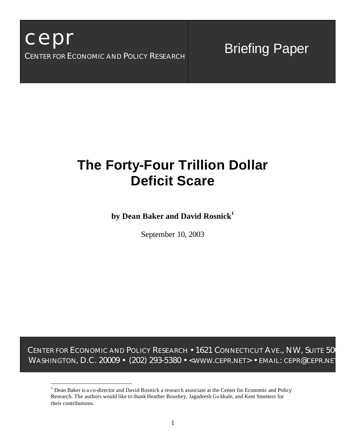$\overline{a}$ 

# Briefing Paper

# **The Forty-Four Trillion Dollar Deficit Scare**

**by Dean Baker and David Rosnick<sup>1</sup>**

September 10, 2003

CENTER FOR ECONOMIC AND POLICY RESEARCH • 1621 CONNECTICUT AVE., NW, SUITE 500 WASHINGTON, D.C. 20009 • (202) 293-5380 • < WWW.CEPR.NET> • EMAIL: CEPR@CEPR.NET

<sup>&</sup>lt;sup>1</sup> Dean Baker is a co-director and David Rosnick a research associate at the Center for Economic and Policy Research. The authors would like to thank Heather Boushey, Jagadeesh Go khale, and Kent Smetters for their contributions.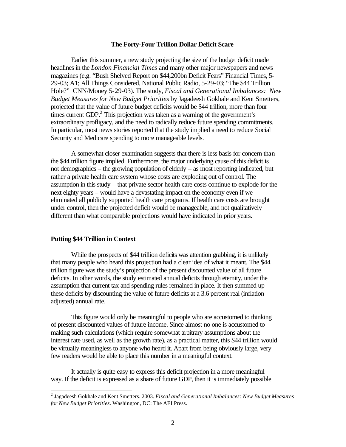### **The Forty-Four Trillion Dollar Deficit Scare**

Earlier this summer, a new study projecting the size of the budget deficit made headlines in the *London Financial Times* and many other major newspapers and news magazines (e.g. "Bush Shelved Report on \$44,200bn Deficit Fears" Financial Times, 5- 29-03; A1; All Things Considered, National Public Radio, 5-29-03; "The \$44 Trillion Hole?" CNN/Money 5-29-03). The study, *Fiscal and Generational Imbalances: New Budget Measures for New Budget Priorities* by Jagadeesh Gokhale and Kent Smetters, projected that the value of future budget deficits would be \$44 trillion, more than four times current GDP. $^{2}$  This projection was taken as a warning of the government's extraordinary profligacy, and the need to radically reduce future spending commitments. In particular, most news stories reported that the study implied a need to reduce Social Security and Medicare spending to more manageable levels.

A somewhat closer examination suggests that there is less basis for concern than the \$44 trillion figure implied. Furthermore, the major underlying cause of this deficit is not demographics – the growing population of elderly – as most reporting indicated, but rather a private health care system whose costs are exploding out of control. The assumption in this study – that private sector health care costs continue to explode for the next eighty years – would have a devastating impact on the economy even if we eliminated all publicly supported health care programs. If health care costs are brought under control, then the projected deficit would be manageable, and not qualitatively different than what comparable projections would have indicated in prior years.

### **Putting \$44 Trillion in Context**

 $\overline{a}$ 

While the prospects of \$44 trillion deficits was attention grabbing, it is unlikely that many people who heard this projection had a clear idea of what it meant. The \$44 trillion figure was the study's projection of the present discounted value of all future deficits. In other words, the study estimated annual deficits through eternity, under the assumption that current tax and spending rules remained in place. It then summed up these deficits by discounting the value of future deficits at a 3.6 percent real (inflation adjusted) annual rate.

This figure would only be meaningful to people who are accustomed to thinking of present discounted values of future income. Since almost no one is accustomed to making such calculations (which require somewhat arbitrary assumptions about the interest rate used, as well as the growth rate), as a practical matter, this \$44 trillion would be virtually meaningless to anyone who heard it. Apart from being obviously large, very few readers would be able to place this number in a meaningful context.

It actually is quite easy to express this deficit projection in a more meaningful way. If the deficit is expressed as a share of future GDP, then it is immediately possible

<sup>2</sup> Jagadeesh Gokhale and Kent Smetters. 2003. *Fiscal and Generational Imbalances: New Budget Measures for New Budget Priorities*. Washington, DC: The AEI Press.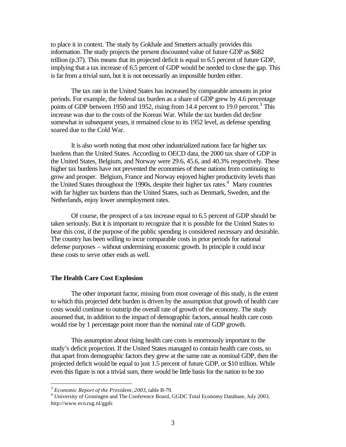to place it in context. The study by Gokhale and Smetters actually provides this information. The study projects the present discounted value of future GDP as \$682 trillion (p.37). This means that its projected deficit is equal to 6.5 percent of future GDP, implying that a tax increase of 6.5 percent of GDP would be needed to close the gap. This is far from a trivial sum, but it is not necessarily an impossible burden either.

The tax rate in the United States has increased by comparable amounts in prior periods. For example, the federal tax burden as a share of GDP grew by 4.6 percentage points of GDP between 1950 and 1952, rising from 14.4 percent to 19.0 percent.<sup>3</sup> This increase was due to the costs of the Korean War. While the tax burden did decline somewhat in subsequent years, it remained close to its 1952 level, as defense spending soared due to the Cold War.

It is also worth noting that most other industrialized nations face far higher tax burdens than the United States. According to OECD data, the 2000 tax share of GDP in the United States, Belgium, and Norway were 29.6, 45.6, and 40.3% respectively. These higher tax burdens have not prevented the economies of these nations from continuing to grow and prosper. Belgium, France and Norway enjoyed higher productivity levels than the United States throughout the 1990s, despite their higher tax rates.<sup>4</sup> Many countries with far higher tax burdens than the United States, such as Denmark, Sweden, and the Netherlands, enjoy lower unemployment rates.

Of course, the prospect of a tax increase equal to 6.5 percent of GDP should be taken seriously. But it is important to recognize that it is possible for the United States to bear this cost, if the purpose of the public spending is considered necessary and desirable. The country has been willing to incur comparable costs in prior periods for national defense purposes – without undermining economic growth. In principle it could incur these costs to serve other ends as well.

## **The Health Care Cost Explosion**

The other important factor, missing from most coverage of this study, is the extent to which this projected debt burden is driven by the assumption that growth of health care costs would continue to outstrip the overall rate of growth of the economy. The study assumed that, in addition to the impact of demographic factors, annual health care costs would rise by 1 percentage point more than the nominal rate of GDP growth.

This assumption about rising health care costs is enormously important to the study's deficit projection. If the United States managed to contain health care costs, so that apart from demographic factors they grew at the same rate as nominal GDP, then the projected deficit would be equal to just 1.5 percent of future GDP, or \$10 trillion. While even this figure is not a trivial sum, there would be little basis for the nation to be too

 $\overline{a}$ 

<sup>3</sup> *Economic Report of the President, 2003*, table B-79.

<sup>&</sup>lt;sup>4</sup> University of Groningen and The Conference Board, GGDC Total Economy Database, July 2003, http://www.eco.rug.nl/ggdc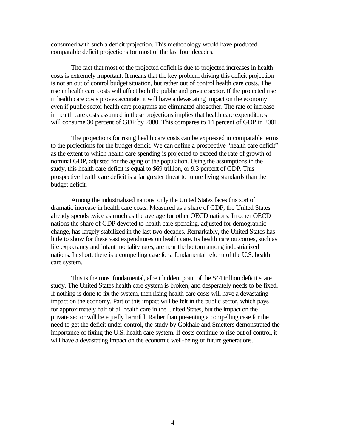consumed with such a deficit projection. This methodology would have produced comparable deficit projections for most of the last four decades.

The fact that most of the projected deficit is due to projected increases in health costs is extremely important. It means that the key problem driving this deficit projection is not an out of control budget situation, but rather out of control health care costs. The rise in health care costs will affect both the public and private sector. If the projected rise in health care costs proves accurate, it will have a devastating impact on the economy even if public sector health care programs are eliminated altogether. The rate of increase in health care costs assumed in these projections implies that health care expenditures will consume 30 percent of GDP by 2080. This compares to 14 percent of GDP in 2001.

The projections for rising health care costs can be expressed in comparable terms to the projections for the budget deficit. We can define a prospective "health care deficit" as the extent to which health care spending is projected to exceed the rate of growth of nominal GDP, adjusted for the aging of the population. Using the assumptions in the study, this health care deficit is equal to \$69 trillion, or 9.3 percent of GDP. This prospective health care deficit is a far greater threat to future living standards than the budget deficit.

Among the industrialized nations, only the United States faces this sort of dramatic increase in health care costs. Measured as a share of GDP, the United States already spends twice as much as the average for other OECD nations. In other OECD nations the share of GDP devoted to health care spending, adjusted for demographic change, has largely stabilized in the last two decades. Remarkably, the United States has little to show for these vast expenditures on health care. Its health care outcomes, such as life expectancy and infant mortality rates, are near the bottom among industrialized nations. In short, there is a compelling case for a fundamental reform of the U.S. health care system.

This is the most fundamental, albeit hidden, point of the \$44 trillion deficit scare study. The United States health care system is broken, and desperately needs to be fixed. If nothing is done to fix the system, then rising health care costs will have a devastating impact on the economy. Part of this impact will be felt in the public sector, which pays for approximately half of all health care in the United States, but the impact on the private sector will be equally harmful. Rather than presenting a compelling case for the need to get the deficit under control, the study by Gokhale and Smetters demonstrated the importance of fixing the U.S. health care system. If costs continue to rise out of control, it will have a devastating impact on the economic well-being of future generations.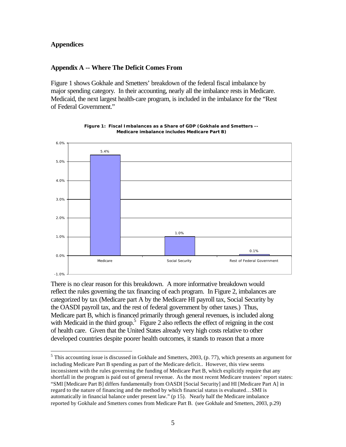## **Appendices**

## **Appendix A -- Where The Deficit Comes From**

Figure 1 shows Gokhale and Smetters' breakdown of the federal fiscal imbalance by major spending category. In their accounting, nearly all the imbalance rests in Medicare. Medicaid, the next largest health-care program, is included in the imbalance for the "Rest of Federal Government."



**Figure 1: Fiscal Imbalances as a Share of GDP (Gokhale and Smetters -- Medicare imbalance includes Medicare Part B)**

There is no clear reason for this breakdown. A more informative breakdown would reflect the rules governing the tax financing of each program. In Figure 2, imbalances are categorized by tax (Medicare part A by the Medicare HI payroll tax, Social Security by the OASDI payroll tax, and the rest of federal government by other taxes.) Thus, Medicare part B, which is financed primarily through general revenues, is included along with Medicaid in the third group.<sup>5</sup> Figure 2 also reflects the effect of reigning in the cost of health care. Given that the United States already very high costs relative to other developed countries despite poorer health outcomes, it stands to reason that a more

 $\overline{a}$  $<sup>5</sup>$  This accounting issue is discussed in Gokhale and Smetters, 2003, (p. 77), which presents an argument for</sup> including Medicare Part B spending as part of the Medicare deficit.. However, this view seems inconsistent with the rules governing the funding of Medicare Part B, which explicitly require that any shortfall in the program is paid out of general revenue. As the most recent Medicare trustees' report states: "SMI [Medicare Part B] differs fundamentally from OASDI [Social Security] and HI [Medicare Part A] in regard to the nature of financing and the method by which financial status is evaluated…SMI is automatically in financial balance under present law." (p 15). Nearly half the Medicare imbalance reported by Gokhale and Smetters comes from Medicare Part B. (see Gokhale and Smetters, 2003, p.29)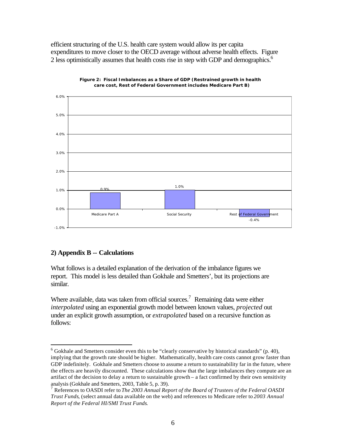efficient structuring of the U.S. health care system would allow its per capita expenditures to move closer to the OECD average without adverse health effects. Figure 2 less optimistically assumes that health costs rise in step with GDP and demographics.<sup>6</sup>





# **2) Appendix B -- Calculations**

 $\overline{a}$ 

What follows is a detailed explanation of the derivation of the imbalance figures we report. This model is less detailed than Gokhale and Smetters', but its projections are similar.

Where available, data was taken from official sources.<sup>7</sup> Remaining data were either *interpolated* using an exponential growth model between known values, *projected* out under an explicit growth assumption, or *extrapolated* based on a recursive function as follows:

 $6$  Gokhale and Smetters consider even this to be "clearly conservative by historical standards" (p. 40), implying that the growth rate should be higher. Mathematically, health care costs cannot grow faster than GDP indefinitely. Gokhale and Smetters choose to assume a return to sustainability far in the future, where the effects are heavily discounted. These calculations show that the large imbalances they compute are an artifact of the decision to delay a return to sustainable growth – a fact confirmed by their own sensitivity analysis (Gokhale and Smetters, 2003, Table 5, p. 39).

<sup>7</sup> References to OASDI refer to *The 2003 Annual Report of the Board of Trustees of the Federal OASDI Trust Funds*, (select annual data available on the web) and references to Medicare refer to *2003 Annual Report of the Federal HI/SMI Trust Funds*.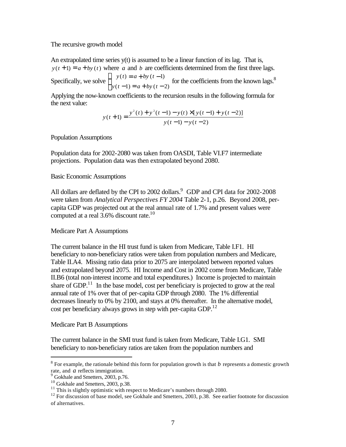### The recursive growth model

An extrapolated time series  $y(t)$  is assumed to be a linear function of its lag. That is,  $y(t+1) = a + by(t)$  where *a* and *b* are coefficients determined from the first three lags. Specifically, we solve  $y(t) = a + by(t-1)$  $y(t) = a + by(t-1)$  for the coefficients from the known lags.<sup>8</sup><br> $y(t-1) = a + by(t-2)$ 

Applying the now-known coefficients to the recursion results in the following formula for the next value:

$$
y(t+1) = \frac{y^{2}(t) + y^{2}(t-1) - y(t) \times [y(t-1) + y(t-2)]}{y(t-1) - y(t-2)}
$$

Population Assumptions

Population data for 2002-2080 was taken from OASDI, Table VI.F7 intermediate projections. Population data was then extrapolated beyond 2080.

## Basic Economic Assumptions

All dollars are deflated by the CPI to 2002 dollars.<sup>9</sup> GDP and CPI data for 2002-2008 were taken from *Analytical Perspectives FY 2004* Table 2-1, p.26. Beyond 2008, percapita GDP was projected out at the real annual rate of 1.7% and present values were computed at a real  $3.6\%$  discount rate.<sup>10</sup>

## Medicare Part A Assumptions

The current balance in the HI trust fund is taken from Medicare, Table I.F1. HI beneficiary to non-beneficiary ratios were taken from population numbers and Medicare, Table II.A4. Missing ratio data prior to 2075 are interpolated between reported values and extrapolated beyond 2075. HI Income and Cost in 2002 come from Medicare, Table II.B6 (total non-interest income and total expenditures.) Income is projected to maintain share of GDP.<sup>11</sup> In the base model, cost per beneficiary is projected to grow at the real annual rate of 1% over that of per-capita GDP through 2080. The 1% differential decreases linearly to 0% by 2100, and stays at 0% thereafter. In the alternative model, cost per beneficiary always grows in step with per-capita GDP. $^{12}$ 

## Medicare Part B Assumptions

The current balance in the SMI trust fund is taken from Medicare, Table I.G1. SMI beneficiary to non-beneficiary ratios are taken from the population numbers and

 $\overline{a}$ 

 $8$  For example, the rationale behind this form for population growth is that  $b$  represents a domestic growth rate, and *a* reflects immigration.

<sup>&</sup>lt;sup>9</sup> Gokhale and Smetters, 2003, p.76.

<sup>&</sup>lt;sup>10</sup> Gokhale and Smetters, 2003, p.38.

 $11$  This is slightly optimistic with respect to Medicare's numbers through 2080.

<sup>&</sup>lt;sup>12</sup> For discussion of base model, see Gokhale and Smetters, 2003, p.38. See earlier footnote for discussion of alternatives.